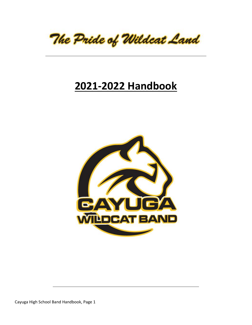

# **2021-2022 Handbook**

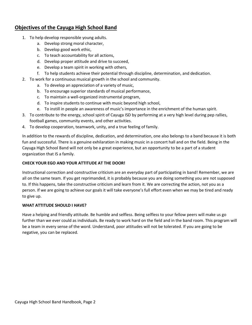# **Objectives of the Cayuga High School Band**

- 1. To help develop responsible young adults.
	- a. Develop strong moral character,
	- b. Develop good work ethic,
	- c. To teach accountability for all actions,
	- d. Develop proper attitude and drive to succeed,
	- e. Develop a team spirit in working with others,
	- f. To help students achieve their potential through discipline, determination, and dedication.
- 2. To work for a continuous musical growth in the school and community.
	- a. To develop an appreciation of a variety of music,
	- b. To encourage superior standards of musical performance,
	- c. To maintain a well-organized instrumental program,
	- d. To inspire students to continue with music beyond high school,
	- e. To instill in people an awareness of music's importance in the enrichment of the human spirit.
- 3. To contribute to the energy, school spirit of Cayuga ISD by performing at a very high level during pep rallies, football games, community events, and other activities.
- 4. To develop cooperation, teamwork, unity, and a true feeling of family.

In addition to the rewards of discipline, dedication, and determination, one also belongs to a band because it is both fun and successful. There is a genuine exhilaration in making music in a concert hall and on the field. Being in the Cayuga High School Band will not only be a great experience, but an opportunity to be a part of a student organization that IS a family.

### **CHECK YOUR EGO AND YOUR ATTITUDE AT THE DOOR!**

Instructional correction and constructive criticism are an everyday part of participating in band! Remember, we are all on the same team. If you get reprimanded, it is probably because you are doing something you are not supposed to. If this happens, take the constructive criticism and learn from it. We are correcting the action, not you as a person. If we are going to achieve our goals it will take everyone's full effort even when we may be tired and ready to give up.

### **WHAT ATTITUDE SHOULD I HAVE?**

Have a helping and friendly attitude. Be humble and selfless. Being selfless to your fellow peers will make us go further than we ever could as individuals. Be ready to work hard on the field and in the band room. This program will be a team in every sense of the word. Understand, poor attitudes will not be tolerated. If you are going to be negative, you can be replaced.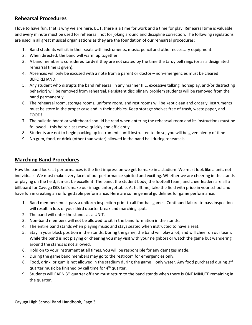# **Rehearsal Procedures**

I love to have fun, that is why we are here. BUT, there is a time for work and a time for play. Rehearsal time is valuable and every minute must be used for rehearsal, not for joking around and discipline correction. The following regulations are used in all great musical organizations as they are the foundation of our rehearsal procedures:

- 1. Band students will sit in their seats with instruments, music, pencil and other necessary equipment.
- 2. When directed, the band will warm up together.
- 3. A band member is considered tardy if they are not seated by the time the tardy bell rings (or as a designated rehearsal time is given).
- 4. Absences will only be excused with a note from a parent or doctor non-emergencies must be cleared BEFOREHAND.
- 5. Any student who disrupts the band rehearsal in any manner (I.E. excessive talking, horseplay, and/or distracting behavior) will be removed from rehearsal. Persistent disciplinary problem students will be removed from the band permanently.
- 6. The rehearsal room, storage rooms, uniform room, and rest rooms will be kept clean and orderly. Instruments must be store in the proper case and in their cubbies. Keep storage shelves free of trash, waste paper, and FOOD!
- 7. The bulletin board or whiteboard should be read when entering the rehearsal room and its instructions must be followed – this helps class move quickly and efficiently.
- 8. Students are not to begin packing up instruments until instructed to do so, you will be given plenty of time!
- 9. No gum, food, or drink (other than water) allowed in the band hall during rehearsals.

### **Marching Band Procedures**

How the band looks at performances is the first impression we get to make in a stadium. We must look like a unit, not individuals. We must make every facet of our performance spirited and exciting. Whether we are cheering in the stands or playing on the field, it must be excellent. The band, the student body, the football team, and cheerleaders are all a billboard for Cayuga ISD. Let's make our image unforgettable. At halftime, take the field with pride in your school and have fun in creating an unforgettable performance. Here are some general guidelines for game performance:

- 1. Band members must pass a uniform inspection prior to all football games. Continued failure to pass inspection will result in loss of your third quarter break and marching spot.
- 2. The band will enter the stands as a UNIT.
- 3. Non-band members will not be allowed to sit in the band formation in the stands.
- 4. The entire band stands when playing music and stays seated when instructed to have a seat.
- 5. Stay in your block position in the stands. During the game, the band will play a lot, and will cheer on our team. While the band is not playing or cheering you may visit with your neighbors or watch the game but wandering around the stands is not allowed.
- 6. Hold on to your instrument at all times, you will be responsible for any damages made.
- 7. During the game band members may go to the restroom for emergencies only.
- 8. Food, drink, or gum is not allowed in the stadium during the game only water. Any food purchased during  $3^{rd}$ quarter music be finished by call time for  $4<sup>th</sup>$  quarter.
- 9. Students will EARN 3<sup>rd</sup> quarter off and must return to the band stands when there is ONE MINUTE remaining in the quarter.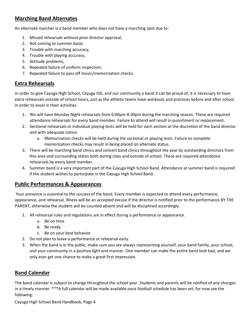# **Marching Band Alternates**

An alternate marcher is a band member who does not have a marching spot due to:

- 1. Missed rehearsals without prior director approval,
- 2. Not coming to summer band,
- 3. Trouble with marching accuracy,
- 4. Trouble with playing accuracy,
- 5. Attitude problems,
- 6. Repeated failure of uniform inspection,
- 7. Repeated failure to pass off music/memorization checks.

# **Extra Rehearsals**

In order to give Cayuga High School, Cayuga ISD, and our community a band it can be proud of, it is necessary to have extra rehearsals outside of school hours, just as the athletic teams have workouts and practices before and after school in order to excel in their activities.

- 1. We will have Monday Night rehearsals from 6:00pm-8:30pm during the marching season. These are required attendance rehearsals for every band member. Failure to attend will result in punishment or replacement.
- 2. Sectional rehearsals or individual playing tests will be held for each section at the discretion of the band director and with adequate notice.
	- a. Memorization checks will be held during the sectional or playing tests. Failure to complete memorization checks may result in being placed on alternate status.
- 3. There will be marching band clinics and concert band clinics throughout the year by outstanding directors from this area and surrounding states both during class and outside of school. These are required attendance rehearsals by every band member.
- 4. Summer band is a very important part of the Cayuga High School Band. Attendance at summer band is required if the student wishes to participate in the Cayuga High School Band.

# **Public Performances & Appearances**

Your presence is essential to the success of the band. Every member is expected to attend every performance, appearance, and rehearsal. Illness will be an accepted excuse if the director is notified prior to the performance BY THE PARENT, otherwise the student will be counted absent and will be disciplined accordingly.

- 1. All rehearsal rules and regulations are in effect during a performance or appearance.
	- a. Be on time
	- b. Be ready
	- c. Be on your best behavior
- 2. Do not plan to leave a performance or rehearsal early.
- 3. When the band is in the public, make sure you are always representing yourself, your band family, your school, and your community in a positive light and manner. One member can make the entire band look bad, and we only ever get one chance to make a great first impression.

# **Band Calendar**

The band calendar is subject to change throughout the school year. Students and parents will be notified of any changes in a timely manner. \*\*\*A full calendar will be made available once football schedule has been set, for now see the following: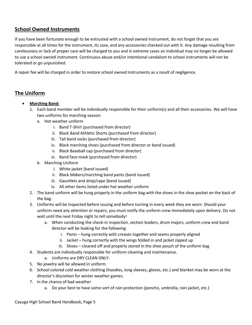# **School Owned Instruments**

If you have been fortunate enough to be entrusted with a school owned instrument, do not forget that you are responsible at all times for the instrument, its case, and any accessories checked out with it. Any damage resulting from carelessness or lack of proper care will be charged to you and in extreme cases an individual may no longer be allowed to use a school owned instrument. Continuous abuse and/or intentional vandalism to school instruments will not be tolerated or go unpunished.

A repair fee will be charged in order to restore school owned instruments as a result of negligence.

# **The Uniform**

- **Marching Band:**
	- 1. Each band member will be individually responsible for their uniform(s) and all their accessories. We will have two uniforms for marching season:
		- a. Hot weather uniform
			- i. Band T-Shirt (purchased from director)
			- ii. Black Band Athletic Shorts (purchased from director)
			- iii. Tall band socks (purchased from director)
			- iv. Black marching shoes (purchased from director or band issued)
			- v. Black Baseball cap (purchased from director)
			- vi. Band face mask (purchased from director)
		- b. Marching Uniform
			- i. White jacket (band issued)
			- ii. Black bibbers/marching band pants (band issued)
			- iii. Gauntlets and drop/cape (band issued)
			- iv. All other items listed under hot weather uniform
	- 2. The band uniform will be hung properly in the uniform bag with the shoes in the shoe pocket on the back of the bag.
	- 3. Uniforms will be inspected before issuing and before turning in every week they are worn. Should your uniform need any attention or repairs, you must notify the uniform crew immediately upon delivery. Do not wait until the next Friday night to tell somebody!
		- a. When conducting the check-in inspection, section leaders, drum majors, uniform crew and band director will be looking for the following:
			- i. Pants hung correctly with creases together and seams properly aligned
			- ii. Jacket hung correctly with the wings folded in and jacket zipped up
			- iii. Shoes cleaned off and properly stored in the shoe pouch of the uniform bag
	- 4. Students are individually responsible for uniform cleaning and maintenance.
		- a. Uniforms are DRY CLEAN ONLY.
	- 5. No jewelry will be allowed in uniform.
	- 6. School colored cold weather clothing (hoodies, long sleeves, gloves, etc.) and blanket may be worn at the director's discretion for winter weather games.
	- 7. In the chance of bad weather
		- a. Do your best to have some sort of rain protection (poncho, umbrella, rain jacket, etc.)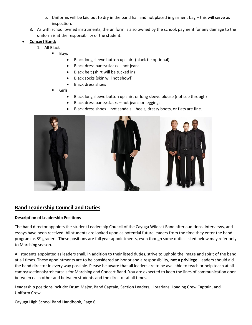- b. Uniforms will be laid out to dry in the band hall and not placed in garment bag this will serve as inspection.
- 8. As with school owned instruments, the uniform is also owned by the school, payment for any damage to the uniform is at the responsibility of the student.

### **Concert Band:**

- 1. All Black
	- Boys
		- Black long sleeve button up shirt (black tie optional)
		- Black dress pants/slacks not jeans
		- Black belt (shirt will be tucked in)
		- Black socks (skin will not show!)
		- Black dress shoes
	- Girls
		- Black long sleeve button up shirt or long sleeve blouse (not see through)
		- Black dress pants/slacks not jeans or leggings
		- Black dress shoes not sandals heels, dressy boots, or flats are fine.



# **Band Leadership Council and Duties**

### **Description of Leadership Positions**

The band director appoints the student Leadership Council of the Cayuga Wildcat Band after auditions, interviews, and essays have been received. All students are looked upon as potential future leaders from the time they enter the band program as  $8<sup>th</sup>$  graders. These positions are full year appointments, even though some duties listed below may refer only to Marching season.

All students appointed as leaders shall, in addition to their listed duties, strive to uphold the image and spirit of the band at all times. These appointments are to be considered an honor and a responsibility, **not a privilege**. Leaders should aid the band director in every way possible. Please be aware that all leaders are to be available to teach or help teach at all camps/sectionals/rehearsals for Marching and Concert Band. You are expected to keep the lines of communication open between each other and between students and the director at all times.

Leadership positions include: Drum Major, Band Captain, Section Leaders, Librarians, Loading Crew Captain, and Uniform Crew.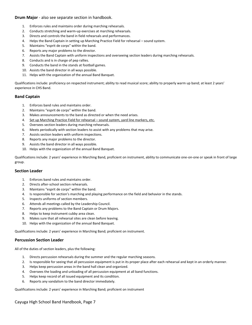#### **Drum Major** - also see separate section in handbook.

- 1. Enforces rules and maintains order during marching rehearsals.
- 2. Conducts stretching and warm-up exercises at marching rehearsals.
- 3. Directs and controls the band in field rehearsals and performances.
- 4. Helps the Band Captain in setting up Marching Practice Field for rehearsal sound system.
- 5. Maintains "esprit de corps" within the band.
- 6. Reports any major problems to the director.
- 7. Assists the Band Captain with uniform inspections and overseeing section leaders during marching rehearsals.
- 8. Conducts and is in charge of pep rallies.
- 9. Conducts the band in the stands at football games.
- 10. Assists the band director in all ways possible.
- 11. Helps with the organization of the annual Band Banquet.

Qualifications include: proficiency on respected instrument; ability to read musical score; ability to properly warm up band; at least 2 years' experience in CHS Band.

#### **Band Captain**

- 1. Enforces band rules and maintains order.
- 2. Maintains "esprit de corps" within the band.
- 3. Makes announcements to the band as directed or when the need arises.
- 4. Set up Marching Practice Field for rehearsal sound system, yard line markers, etc.
- 5. Oversees section leaders during marching rehearsals.
- 6. Meets periodically with section leaders to assist with any problems that may arise.
- 7. Assists section leaders with uniform inspections.
- 8. Reports any major problems to the director.
- 9. Assists the band director in all ways possible.
- 10. Helps with the organization of the annual Band Banquet.

Qualifications include: 2 years' experience in Marching Band, proficient on instrument, ability to communicate one-on-one or speak in front of large group.

#### **Section Leader**

- 1. Enforces band rules and maintains order.
- 2. Directs after-school section rehearsals.
- 3. Maintains "esprit de corps" within the band.
- 4. Is responsible for section's marching and playing performance on the field and behavior in the stands.
- 5. Inspects uniforms of section members.
- 6. Attends all meetings called by the Leadership Council.
- 7. Reports any problems to the Band Captain or Drum Majors.
- 8. Helps to keep instrument cubby area clean.
- 9. Makes sure that all rehearsal sites are clean before leaving.
- 10. Helps with the organization of the annual Band Banquet.

Qualifications include: 2 years' experience in Marching Band; proficient on instrument.

### **Percussion Section Leader**

All of the duties of section leaders, plus the following:

- 1. Directs percussion rehearsals during the summer and the regular marching seasons.
- 2. Is responsible for seeing that all percussion equipment is put in its proper place after each rehearsal and kept in an orderly manner.
- 3. Helps keep percussion areas in the band hall clean and organized.
- 4. Oversees the loading and unloading of all percussion equipment at all band functions.
- 5. Helps keep record of all issued equipment and its condition.
- 6. Reports any vandalism to the band director immediately.

Qualifications include: 2 years' experience in Marching Band; proficient on instrument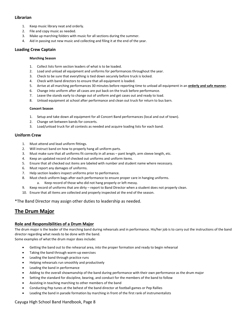### **Librarian**

- 1. Keep music library neat and orderly.
- 2. File and copy music as needed.
- 3. Make up marching folders with music for all sections during the summer.
- 4. Aid in passing out new music and collecting and filing it at the end of the year.

### **Loading Crew Captain**

#### **Marching Season**

- 1. Collect lists form section leaders of what is to be loaded.
- 2. Load and unload all equipment and uniforms for performances throughout the year.
- 3. Check to be sure that everything is tied down securely before truck is locked.
- 4. Check with band directors to ensure that all equipment is loaded.
- 5. Arrive at all marching performances 30 minutes before reporting time to unload all equipment in an **orderly and safe manner**.
- 6. Change into uniform after all cases are put back on the truck before performance.
- 7. Leave the stands early to change out of uniform and get cases out and ready to load.
- 8. Unload equipment at school after performance and clean out truck for return to bus barn.

#### **Concert Season**

- 1. Setup and take down all equipment for all Concert Band performances (local and out of town).
- 2. Change set between bands for concerts.
- 3. Load/unload truck for all contests as needed and acquire loading lists for each band.

### **Uniform Crew**

- 1. Must attend and lead uniform fittings.
- 2. Will instruct band on how to properly hang all uniform parts.
- 3. Must make sure that all uniforms fit correctly in all areas pant length, arm sleeve length, etc.
- 4. Keep an updated record of checked out uniforms and uniform items.
- 5. Ensure that all checked out items are labeled with number and student name where necessary.
- 6. Must report any damages of uniforms.
- 7. Help section leaders inspect uniforms prior to performance.
- 8. Must check uniform bags after each performance to ensure proper care in hanging uniforms.
	- a. Keep record of those who did not hang properly or left messy.
- 9. Keep record of uniforms that are dirty report to Band Director when a student does not properly clean.
- 10. Ensure that all items are collected and properly inspected at the end of the season.

\*The Band Director may assign other duties to leadership as needed.

# **The Drum Major**

### **Role and Responsibilities of a Drum Major**

The drum major is the leader of the marching band during rehearsals and in performance. His/her job is to carry out the instructions of the band director regarding what needs to be done with the band.

Some examples of what the drum major does include:

- Getting the band out to the rehearsal area, into the proper formation and ready to begin rehearsal
- Taking the band through warm-up exercises
- Leading the band through practice runs
- Helping rehearsals run smoothly and productively
- Leading the band in performance
- Adding to the overall showmanship of the band during performance with their own performance as the drum major
- Setting the standard for discipline, bearing, and conduct for the members of the band to follow
- Assisting in teaching marching to other members of the band
- Conducting Pep tunes at the behest of the band director at football games or Pep Rallies
- Leading the band in parade formation by marching in front of the first rank of instrumentalists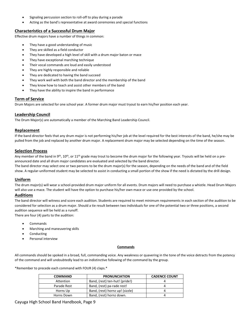- Signaling percussion section to roll-off to play during a parade
- Acting as the band's representative at award ceremonies and special functions

### **Characteristics of a Successful Drum Major**

Effective drum majors have a number of things in common:

- They have a good understanding of music
- They are skilled as a field conductor
- They have developed a high level of skill with a drum major baton or mace
- They have exceptional marching technique
- Their vocal commands are loud and easily understood
- They are highly responsible and reliable
- They are dedicated to having the band succeed
- They work well with both the band director and the membership of the band
- They know how to teach and assist other members of the band
- They have the ability to inspire the band in performance

### **Term of Service**

Drum Majors are selected for one school year. A former drum major must tryout to earn his/her position each year.

### **Leadership Council**

The Drum Major(s) are automatically a member of the Marching Band Leadership Council.

### **Replacement**

If the band director feels that any drum major is not performing his/her job at the level required for the best interests of the band, he/she may be pulled from the job and replaced by another drum major. A replacement drum major may be selected depending on the time of the season.

### **Selection Process**

Any member of the band in 9<sup>th</sup>, 10<sup>th</sup>, or 11<sup>th</sup> grade may trout to become the drum major for the following year. Tryouts will be held on a preannounced date and all drum major candidates are evaluated and selected by the band director.

The band director may select one or two persons to be the drum major(s) for the season, depending on the needs of the band and of the field show. A regular-uniformed student may be selected to assist in conducting a small portion of the show if the need is dictated by the drill design.

### **Uniform**

The drum major(s) will wear a school-provided drum major uniform for all events. Drum majors will need to purchase a whistle. Head Drum Majors will also use a mace. The student will have the option to purchase his/her own mace or use one provided by the school.

### **Auditions**

The band director will witness and score each audition. Students are required to meet minimum requirements in each section of the audition to be considered for selection as a drum major. Should a tie result between two individuals for one of the potential two or three positions, a second audition sequence will be held as a runoff. There are four (4) parts to the audition:

- Commands
- Marching and maneuvering skills
- Conducting
- Personal interview

#### **Commands**

All commands should be spoked in a broad, full, commanding voice. Any weakness or quavering in the tone of the voice detracts from the potency of the command and will undoubtedly lead to an indistinctive following of the command by the group.

\*Remember to precede each command with FOUR (4) claps.\*

| <b>COMMAND</b> | <b>PRONUNCIATION</b>            | <b>CADENCE COUNT</b> |
|----------------|---------------------------------|----------------------|
| Attention      | Band, (rest) ten-hut! (pride!)  |                      |
| Parade Rest    | Band, (rest) pa-rade rest!      |                      |
| Horns Up       | Band, (rest) hornz up! (sizzle) |                      |
| Horns Down     | Band, (rest) hornz down.        |                      |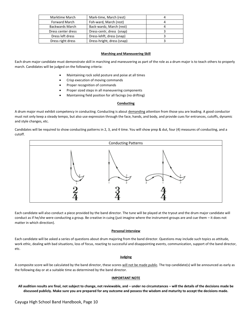| Marktime March         | Mark-time, March (rest)    |  |
|------------------------|----------------------------|--|
| <b>Forward March</b>   | Foh-ward, March (rest)     |  |
| <b>Backwards March</b> | Back-wardz, March (rest)   |  |
| Dress center dress     | Dress-centr, dress (snap)  |  |
| Dress left dress       | Dress-lehft, dress (snap)  |  |
| Dress right dress      | Dress-hright, dress (snap) |  |

#### **Marching and Maneuvering Skill**

Each drum major candidate must demonstrate skill in marching and maneuvering as part of the role as a drum major is to teach others to properly march. Candidates will be judged on the following criteria:

- Maintaining rock solid posture and poise at all times
- Crisp execution of moving commands
- Proper recognition of commands
- Proper sized steps in all maneuvering components
- Maintaining field position for all facings (no drifting)

#### **Conducting**

A drum major must exhibit competency in conducting. Conducting is about demanding attention from those you are leading. A good conductor must not only keep a steady tempo, but also use expression through the face, hands, and body, and provide cues for entrances, cutoffs, dynamic and style changes, etc.

Candidates will be required to show conducting patterns in 2, 3, and 4 time. You will show prep & dut, four (4) measures of conducting, and a cutoff.



Each candidate will also conduct a piece provided by the band director. The tune will be played at the tryout and the drum major candidate will conduct as if he/she were conducting a group. Be creative in cuing (just imagine where the instrument groups are and cue them – it does not matter in which direction).

#### **Personal Interview**

Each candidate will be asked a series of questions about drum majoring from the band director. Questions may include such topics as attitude, work ethic, dealing with bad situations, loss of focus, reacting to successful and disappointing events, communication, support of the band director, etc.

#### **Judging**

A composite score will be calculated by the band director, these scores will not be made public. The top candidate(s) will be announced as early as the following day or at a suitable time as determined by the band director.

#### **IMPORTANT NOTE**

**All audition results are final, not subject to change, not reviewable, and – under no circumstances – will the details of the decisions made be discussed publicly. Make sure you are prepared for any outcome and possess the wisdom and maturity to accept the decisions made.**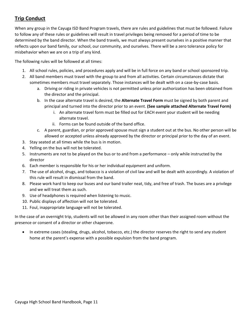# **Trip Conduct**

When any group in the Cayuga ISD Band Program travels, there are rules and guidelines that must be followed. Failure to follow any of these rules or guidelines will result in travel privileges being removed for a period of time to be determined by the band director. When the band travels, we must always present ourselves in a positive manner that reflects upon our band family, our school, our community, and ourselves. There will be a zero tolerance policy for misbehavior when we are on a trip of any kind.

The following rules will be followed at all times:

- 1. All school rules, policies, and procedures apply and will be in full force on any band or school sponsored trip.
- 2. All band members must travel with the group to and from all activities. Certain circumstances dictate that sometimes members must travel separately. Those instances will be dealt with on a case-by-case basis.
	- a. Driving or riding in private vehicles is not permitted unless prior authorization has been obtained from the director and the principal.
	- b. In the case alternate travel is desired, the **Alternate Travel Form** must be signed by both parent and principal and turned into the director prior to an event. **(See sample attached Alternate Travel Form)**
		- i. An alternate travel form must be filled out for EACH event your student will be needing alternate travel.
		- ii. Forms can be found outside of the band office.
	- c. A parent, guardian, or prior approved spouse must sign a student out at the bus. No other person will be allowed or accepted unless already approved by the director or principal prior to the day of an event.
- 3. Stay seated at all times while the bus is in motion.
- 4. Yelling on the bus will not be tolerated.
- 5. Instruments are not to be played on the bus or to and from a performance only while instructed by the director
- 6. Each member is responsible for his or her individual equipment and uniform.
- 7. The use of alcohol, drugs, and tobacco is a violation of civil law and will be dealt with accordingly. A violation of this rule will result in dismissal from the band.
- 8. Please work hard to keep our buses and our band trailer neat, tidy, and free of trash. The buses are a privilege and we will treat them as such.
- 9. Use of headphones is required when listening to music.
- 10. Public displays of affection will not be tolerated.
- 11. Foul, inappropriate language will not be tolerated.

In the case of an overnight trip, students will not be allowed in any room other than their assigned room without the presence or consent of a director or other chaperone.

 In extreme cases (stealing, drugs, alcohol, tobacco, etc.) the director reserves the right to send any student home at the parent's expense with a possible expulsion from the band program.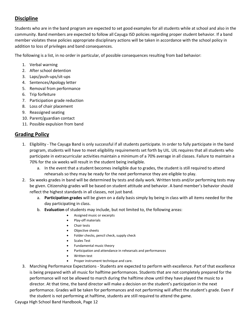# **Discipline**

Students who are in the band program are expected to set good examples for all students while at school and also in the community. Band members are expected to follow all Cayuga ISD policies regarding proper student behavior. If a band member violates these policies appropriate disciplinary actions will be taken in accordance with the school policy in addition to loss of privileges and band consequences.

The following is a list, in no order in particular, of possible consequences resulting from bad behavior:

- 1. Verbal warning
- 2. After school detention
- 3. Laps/push-ups/sit-ups
- 4. Sentences/Apology letter
- 5. Removal from performance
- 6. Trip forfeiture
- 7. Participation grade reduction
- 8. Loss of chair placement
- 9. Reassigned seating
- 10. Parent/guardian contact
- 11. Possible expulsion from band

# **Grading Policy**

- 1. Eligibility The Cayuga Band is only successful if all students participate. In order to fully participate in the band program, students will have to meet eligibility requirements set forth by UIL. UIL requires that all students who participate in extracurricular activities maintain a minimum of a 70% average in all classes. Failure to maintain a 70% for the six weeks will result in the student being ineligible.
	- a. In the event that a student becomes ineligible due to grades, the student is still required to attend rehearsals so they may be ready for the next performance they are eligible to play.
- 2. Six weeks grades in band will be determined by tests and daily work. Written tests and/or performing tests may be given. Citizenship grades will be based on student attitude and behavior. A band member's behavior should reflect the highest standards in all classes, not just band.
	- a. **Participation grades** will be given on a daily basis simply by being in class with all items needed for the day participating in class.
	- b. **Evaluation** of students may include, but not limited to, the following areas:
		- Assigned music or excerpts
		- Play-off materials
		- Chair tests
		- Objective sheets
		- Folder checks, pencil check, supply check
		- Scales Test
		- Fundamental music theory
		- Participation and attendance in rehearsals and performances
		- Written test
		- Proper instrument technique and care.
- 3. Marching Performance Expectations Students are expected to perform with excellence. Part of that excellence is being prepared with all music for halftime performances. Students that are not completely prepared for the performance will not be allowed to march during the halftime show until they have played the music to a director. At that time, the band director will make a decision on the student's participation in the next performance. Grades will be taken for performances and not performing will affect the student's grade. Even if the student is not performing at halftime, students are still required to attend the game.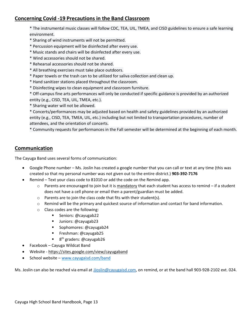# **Concerning Covid -19 Precautions in the Band Classroom**

\* The instrumental music classes will follow CDC, TEA, UIL, TMEA, and CISD guidelines to ensure a safe learning environment.

- \* Sharing of wind instruments will not be permitted.
- \* Percussion equipment will be disinfected after every use.
- \* Music stands and chairs will be disinfected after every use.
- \* Wind accessories should not be shared.
- \* Rehearsal accessories should not be shared.
- \* All breathing exercises must take place outdoors.
- \* Paper towels or the trash can to be utilized for saliva collection and clean up.
- \* Hand sanitizer stations placed throughout the classroom.
- \* Disinfecting wipes to clean equipment and classroom furniture.

\* Off-campus fine arts performances will only be conducted if specific guidance is provided by an authorized entity (e.g., CISD, TEA, UIL, TMEA, etc.).

\* Sharing water will not be allowed.

\* Concerts/performances may be adjusted based on health and safety guidelines provided by an authorized entity (e.g., CISD, TEA, TMEA, UIL, etc.) including but not limited to transportation procedures, number of attendees, and the orientation of concerts.

\* Community requests for performances in the Fall semester will be determined at the beginning of each month.

# **Communication**

The Cayuga Band uses several forms of communication:

- Google Phone number Ms. Joslin has created a google number that you can call or text at any time (this was created so that my personal number was not given out to the entire district.) **903-392-7176**
- Remind Text your class code to 81010 or add the code on the Remind app.
	- $\circ$  Parents are encouraged to join but it is mandatory that each student has access to remind if a student does not have a cell phone or email then a parent/guardian must be added.
	- $\circ$  Parents are to join the class code that fits with their student(s).
	- $\circ$  Remind will be the primary and quickest source of information and contact for band information.
	- o Class codes are the following:
		- **Seniors: @cayugab22**
		- Uniors: @cayugab23
		- Sophomores: @cayugab24
		- **Freshman: @cayugab25**
		- 8<sup>th</sup> graders: @cayugab26
- Facebook Cayuga Wildcat Band
- Website https://sites.google.com/view/cayugaband
- $\bullet$  School website [www.cayugaisd.com/band](http://www.cayugaisd.com/band)

Ms. Joslin can also be reached via email a[t JJoslin@cayugaisd.com,](mailto:JJoslin@cayugaisd.com) on remind, or at the band hall 903-928-2102 ext. 024.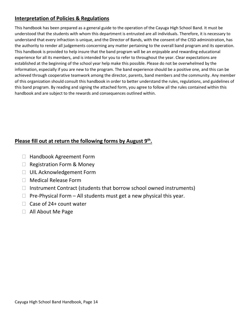# **Interpretation of Policies & Regulations**

This handbook has been prepared as a general guide to the operation of the Cayuga High School Band. It must be understood that the students with whom this department is entrusted are all individuals. Therefore, it is necessary to understand that every infraction is unique, and the Director of Bands, with the consent of the CISD administration, has the authority to render all judgements concerning any matter pertaining to the overall band program and its operation. This handbook is provided to help insure that the band program will be an enjoyable and rewarding educational experience for all its members, and is intended for you to refer to throughout the year. Clear expectations are established at the beginning of the school year help make this possible. Please do not be overwhelmed by the information, especially if you are new to the program. The band experience should be a positive one, and this can be achieved through cooperative teamwork among the director, parents, band members and the community. Any member of this organization should consult this handbook in order to better understand the rules, regulations, and guidelines of this band program. By reading and signing the attached form, you agree to follow all the rules contained within this handbook and are subject to the rewards and consequences outlined within.

# Please fill out at return the following forms by August 9<sup>th</sup>.

- □ Handbook Agreement Form
- $\Box$  Registration Form & Money
- □ UIL Acknowledgement Form
- □ Medical Release Form
- $\Box$  Instrument Contract (students that borrow school owned instruments)
- $\Box$  Pre-Physical Form All students must get a new physical this year.
- $\Box$  Case of 24+ count water
- All About Me Page